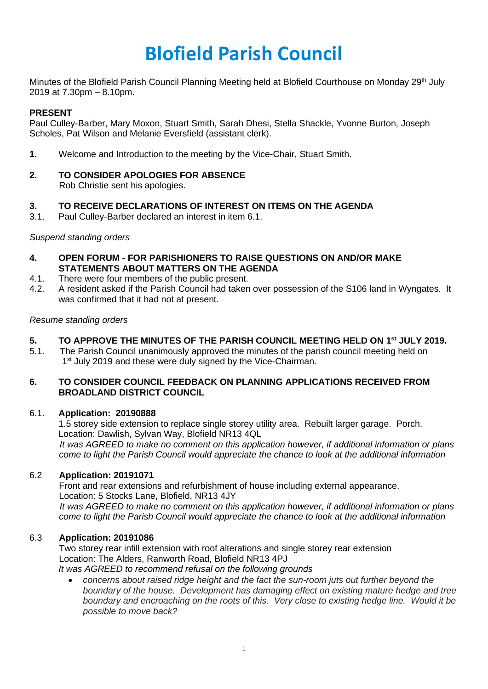# **Blofield Parish Council**

Minutes of the Blofield Parish Council Planning Meeting held at Blofield Courthouse on Monday 29th July 2019 at 7.30pm – 8.10pm.

## **PRESENT**

Paul Culley-Barber, Mary Moxon, Stuart Smith, Sarah Dhesi, Stella Shackle, Yvonne Burton, Joseph Scholes, Pat Wilson and Melanie Eversfield (assistant clerk).

- **1.** Welcome and Introduction to the meeting by the Vice-Chair, Stuart Smith.
- **2. TO CONSIDER APOLOGIES FOR ABSENCE** Rob Christie sent his apologies.

## **3. TO RECEIVE DECLARATIONS OF INTEREST ON ITEMS ON THE AGENDA**

3.1. Paul Culley-Barber declared an interest in item 6.1.

#### *Suspend standing orders*

- **4. OPEN FORUM - FOR PARISHIONERS TO RAISE QUESTIONS ON AND/OR MAKE STATEMENTS ABOUT MATTERS ON THE AGENDA**
- 4.1. There were four members of the public present.
- 4.2. A resident asked if the Parish Council had taken over possession of the S106 land in Wyngates. It was confirmed that it had not at present.

#### *Resume standing orders*

# **5. TO APPROVE THE MINUTES OF THE PARISH COUNCIL MEETING HELD ON 1 st JULY 2019.**

5.1. The Parish Council unanimously approved the minutes of the parish council meeting held on 1<sup>st</sup> July 2019 and these were duly signed by the Vice-Chairman.

#### **6. TO CONSIDER COUNCIL FEEDBACK ON PLANNING APPLICATIONS RECEIVED FROM BROADLAND DISTRICT COUNCIL**

#### 6.1. **Application: 20190888**

1.5 storey side extension to replace single storey utility area. Rebuilt larger garage. Porch. Location: Dawlish, Sylvan Way, Blofield NR13 4QL

 *It was AGREED to make no comment on this application however, if additional information or plans come to light the Parish Council would appreciate the chance to look at the additional information*

#### 6.2 **Application: 20191071**

Front and rear extensions and refurbishment of house including external appearance. Location: 5 Stocks Lane, Blofield, NR13 4JY  *It was AGREED to make no comment on this application however, if additional information or plans come to light the Parish Council would appreciate the chance to look at the additional information*

#### 6.3 **Application: 20191086**

Two storey rear infill extension with roof alterations and single storey rear extension Location: The Alders, Ranworth Road, Blofield NR13 4PJ *It was AGREED to recommend refusal on the following grounds*

• *concerns about raised ridge height and the fact the sun-room juts out further beyond the boundary of the house. Development has damaging effect on existing mature hedge and tree boundary and encroaching on the roots of this. Very close to existing hedge line. Would it be possible to move back?*